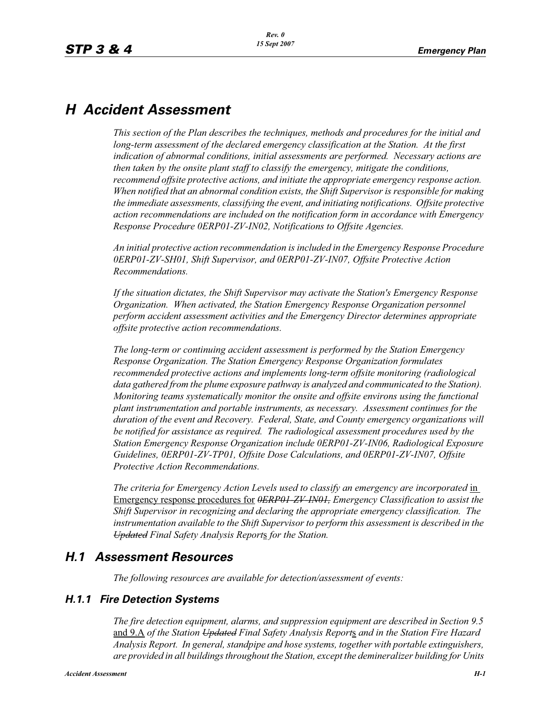## *H Accident Assessment*

*This section of the Plan describes the techniques, methods and procedures for the initial and long-term assessment of the declared emergency classification at the Station. At the first indication of abnormal conditions, initial assessments are performed. Necessary actions are then taken by the onsite plant staff to classify the emergency, mitigate the conditions, recommend offsite protective actions, and initiate the appropriate emergency response action. When notified that an abnormal condition exists, the Shift Supervisor is responsible for making the immediate assessments, classifying the event, and initiating notifications. Offsite protective action recommendations are included on the notification form in accordance with Emergency Response Procedure 0ERP01-ZV-IN02, Notifications to Offsite Agencies.*

*An initial protective action recommendation is included in the Emergency Response Procedure 0ERP01-ZV-SH01, Shift Supervisor, and 0ERP01-ZV-IN07, Offsite Protective Action Recommendations.*

*If the situation dictates, the Shift Supervisor may activate the Station's Emergency Response Organization. When activated, the Station Emergency Response Organization personnel perform accident assessment activities and the Emergency Director determines appropriate offsite protective action recommendations.*

*The long-term or continuing accident assessment is performed by the Station Emergency Response Organization. The Station Emergency Response Organization formulates recommended protective actions and implements long-term offsite monitoring (radiological*  data gathered from the plume exposure pathway is analyzed and communicated to the Station). *Monitoring teams systematically monitor the onsite and offsite environs using the functional plant instrumentation and portable instruments, as necessary. Assessment continues for the duration of the event and Recovery. Federal, State, and County emergency organizations will be notified for assistance as required. The radiological assessment procedures used by the Station Emergency Response Organization include 0ERP01-ZV-IN06, Radiological Exposure Guidelines, 0ERP01-ZV-TP01, Offsite Dose Calculations, and 0ERP01-ZV-IN07, Offsite Protective Action Recommendations.*

*The criteria for Emergency Action Levels used to classify an emergency are incorporated* in Emergency response procedures for *0ERP01-ZV-IN01, Emergency Classification to assist the Shift Supervisor in recognizing and declaring the appropriate emergency classification. The instrumentation available to the Shift Supervisor to perform this assessment is described in the Updated Final Safety Analysis Report*s *for the Station.*

## *H.1 Assessment Resources*

*The following resources are available for detection/assessment of events:*

## *H.1.1 Fire Detection Systems*

*The fire detection equipment, alarms, and suppression equipment are described in Section 9.5*  and 9.A *of the Station Updated Final Safety Analysis Report*s *and in the Station Fire Hazard Analysis Report. In general, standpipe and hose systems, together with portable extinguishers, are provided in all buildings throughout the Station, except the demineralizer building for Units*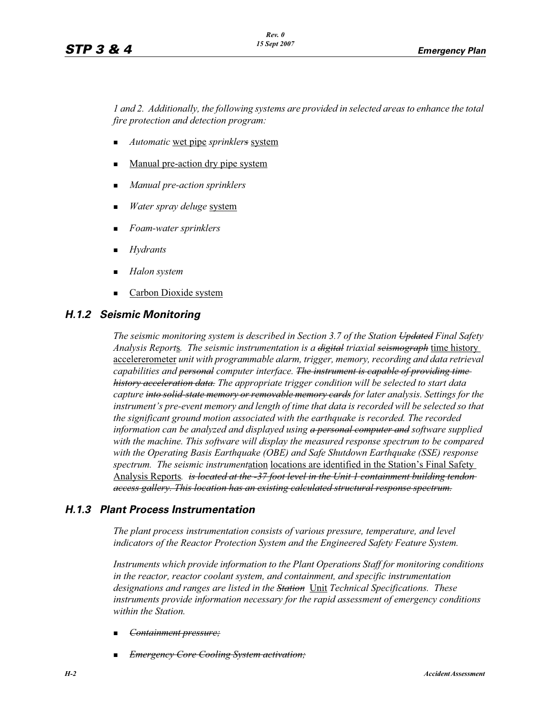*1 and 2. Additionally, the following systems are provided in selected areas to enhance the total fire protection and detection program:*

- -*Automatic* wet pipe *sprinklers* system
- -Manual pre-action dry pipe system
- -*Manual pre-action sprinklers*
- -*Water spray deluge* system
- -*Foam-water sprinklers*
- -*Hydrants*
- -*Halon system*
- -Carbon Dioxide system

### *H.1.2 Seismic Monitoring*

*The seismic monitoring system is described in Section 3.7 of the Station Updated Final Safety Analysis Report*s*. The seismic instrumentation is a digital triaxial seismograph* time history accelererometer *unit with programmable alarm, trigger, memory, recording and data retrieval capabilities and personal computer interface. The instrument is capable of providing time history acceleration data. The appropriate trigger condition will be selected to start data capture into solid-state memory or removable memory cards for later analysis. Settings for the instrument's pre-event memory and length of time that data is recorded will be selected so that the significant ground motion associated with the earthquake is recorded. The recorded information can be analyzed and displayed using a personal computer and software supplied with the machine. This software will display the measured response spectrum to be compared with the Operating Basis Earthquake (OBE) and Safe Shutdown Earthquake (SSE) response spectrum. The seismic instrument*ation locations are identified in the Station's Final Safety Analysis Reports*. is located at the -37 foot level in the Unit 1 containment building tendon access gallery. This location has an existing calculated structural response spectrum.*

## *H.1.3 Plant Process Instrumentation*

*The plant process instrumentation consists of various pressure, temperature, and level indicators of the Reactor Protection System and the Engineered Safety Feature System.*

*Instruments which provide information to the Plant Operations Staff for monitoring conditions in the reactor, reactor coolant system, and containment, and specific instrumentation designations and ranges are listed in the Station* Unit *Technical Specifications. These instruments provide information necessary for the rapid assessment of emergency conditions within the Station.*

- -*Containment pressure;*
- -*Emergency Core Cooling System activation;*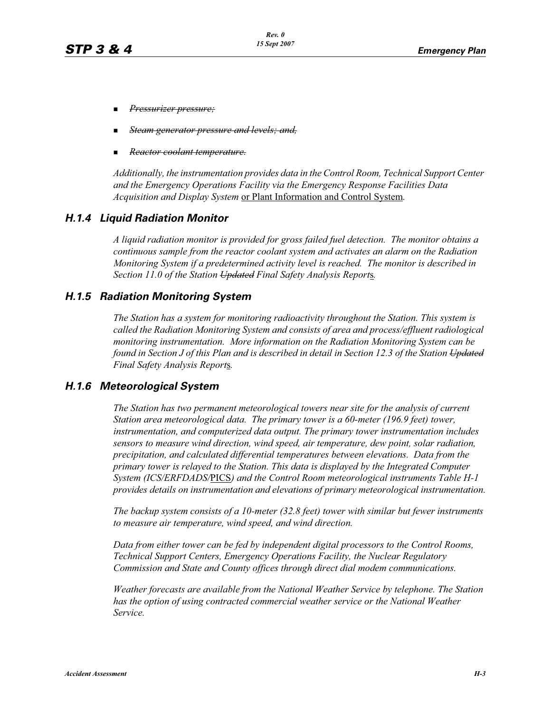- -*Pressurizer pressure;*
- -*Steam generator pressure and levels; and,*
- -*Reactor coolant temperature.*

*Additionally, the instrumentation provides data in the Control Room, Technical Support Center and the Emergency Operations Facility via the Emergency Response Facilities Data Acquisition and Display System* or Plant Information and Control System*.*

## *H.1.4 Liquid Radiation Monitor*

*A liquid radiation monitor is provided for gross failed fuel detection. The monitor obtains a continuous sample from the reactor coolant system and activates an alarm on the Radiation Monitoring System if a predetermined activity level is reached. The monitor is described in Section 11.0 of the Station Updated Final Safety Analysis Report*s*.*

### *H.1.5 Radiation Monitoring System*

*The Station has a system for monitoring radioactivity throughout the Station. This system is called the Radiation Monitoring System and consists of area and process/effluent radiological monitoring instrumentation. More information on the Radiation Monitoring System can be found in Section J of this Plan and is described in detail in Section 12.3 of the Station Updated Final Safety Analysis Report*s*.*

### *H.1.6 Meteorological System*

*The Station has two permanent meteorological towers near site for the analysis of current Station area meteorological data. The primary tower is a 60-meter (196.9 feet) tower, instrumentation, and computerized data output. The primary tower instrumentation includes sensors to measure wind direction, wind speed, air temperature, dew point, solar radiation, precipitation, and calculated differential temperatures between elevations. Data from the primary tower is relayed to the Station. This data is displayed by the Integrated Computer System (ICS/ERFDADS/*PICS*) and the Control Room meteorological instruments Table H-1 provides details on instrumentation and elevations of primary meteorological instrumentation.*

*The backup system consists of a 10-meter (32.8 feet) tower with similar but fewer instruments to measure air temperature, wind speed, and wind direction.*

*Data from either tower can be fed by independent digital processors to the Control Rooms, Technical Support Centers, Emergency Operations Facility, the Nuclear Regulatory Commission and State and County offices through direct dial modem communications.* 

*Weather forecasts are available from the National Weather Service by telephone. The Station has the option of using contracted commercial weather service or the National Weather Service.*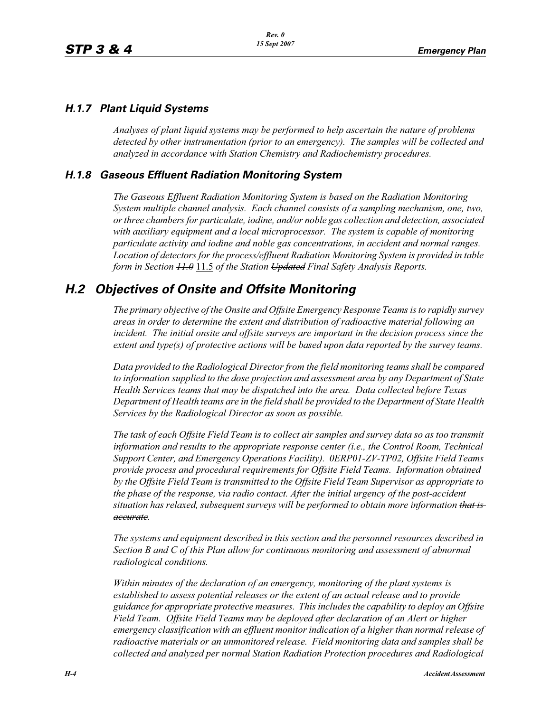## *H.1.7 Plant Liquid Systems*

*Analyses of plant liquid systems may be performed to help ascertain the nature of problems detected by other instrumentation (prior to an emergency). The samples will be collected and analyzed in accordance with Station Chemistry and Radiochemistry procedures.*

## *H.1.8 Gaseous Effluent Radiation Monitoring System*

*The Gaseous Effluent Radiation Monitoring System is based on the Radiation Monitoring System multiple channel analysis. Each channel consists of a sampling mechanism, one, two, or three chambers for particulate, iodine, and/or noble gas collection and detection, associated with auxiliary equipment and a local microprocessor. The system is capable of monitoring particulate activity and iodine and noble gas concentrations, in accident and normal ranges. Location of detectors for the process/effluent Radiation Monitoring System is provided in table form in Section 11.0* 11.5 *of the Station Updated Final Safety Analysis Reports.* 

## *H.2 Objectives of Onsite and Offsite Monitoring*

*The primary objective of the Onsite and Offsite Emergency Response Teams is to rapidly survey areas in order to determine the extent and distribution of radioactive material following an incident. The initial onsite and offsite surveys are important in the decision process since the extent and type(s) of protective actions will be based upon data reported by the survey teams.*

*Data provided to the Radiological Director from the field monitoring teams shall be compared to information supplied to the dose projection and assessment area by any Department of State Health Services teams that may be dispatched into the area. Data collected before Texas Department of Health teams are in the field shall be provided to the Department of State Health Services by the Radiological Director as soon as possible.*

*The task of each Offsite Field Team is to collect air samples and survey data so as too transmit information and results to the appropriate response center (i.e., the Control Room, Technical Support Center, and Emergency Operations Facility). 0ERP01-ZV-TP02, Offsite Field Teams provide process and procedural requirements for Offsite Field Teams. Information obtained by the Offsite Field Team is transmitted to the Offsite Field Team Supervisor as appropriate to the phase of the response, via radio contact. After the initial urgency of the post-accident situation has relaxed, subsequent surveys will be performed to obtain more information that is accurate.*

*The systems and equipment described in this section and the personnel resources described in Section B and C of this Plan allow for continuous monitoring and assessment of abnormal radiological conditions.*

*Within minutes of the declaration of an emergency, monitoring of the plant systems is established to assess potential releases or the extent of an actual release and to provide guidance for appropriate protective measures. This includes the capability to deploy an Offsite Field Team. Offsite Field Teams may be deployed after declaration of an Alert or higher emergency classification with an effluent monitor indication of a higher than normal release of radioactive materials or an unmonitored release. Field monitoring data and samples shall be collected and analyzed per normal Station Radiation Protection procedures and Radiological*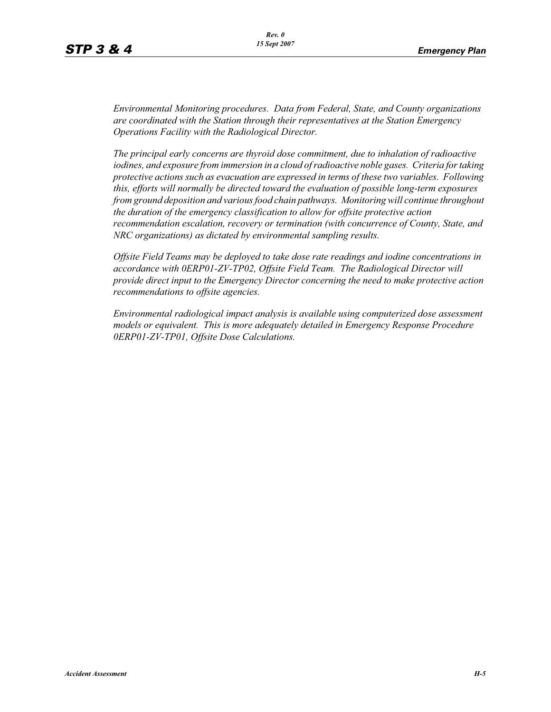*Environmental Monitoring procedures. Data from Federal, State, and County organizations are coordinated with the Station through their representatives at the Station Emergency Operations Facility with the Radiological Director.*

*The principal early concerns are thyroid dose commitment, due to inhalation of radioactive iodines, and exposure from immersion in a cloud of radioactive noble gases. Criteria for taking protective actions such as evacuation are expressed in terms of these two variables. Following this, efforts will normally be directed toward the evaluation of possible long-term exposures from ground deposition and various food chain pathways. Monitoring will continue throughout the duration of the emergency classification to allow for offsite protective action recommendation escalation, recovery or termination (with concurrence of County, State, and NRC organizations) as dictated by environmental sampling results.*

*Offsite Field Teams may be deployed to take dose rate readings and iodine concentrations in accordance with 0ERP01-ZV-TP02, Offsite Field Team. The Radiological Director will provide direct input to the Emergency Director concerning the need to make protective action recommendations to offsite agencies.* 

*Environmental radiological impact analysis is available using computerized dose assessment models or equivalent. This is more adequately detailed in Emergency Response Procedure 0ERP01-ZV-TP01, Offsite Dose Calculations.*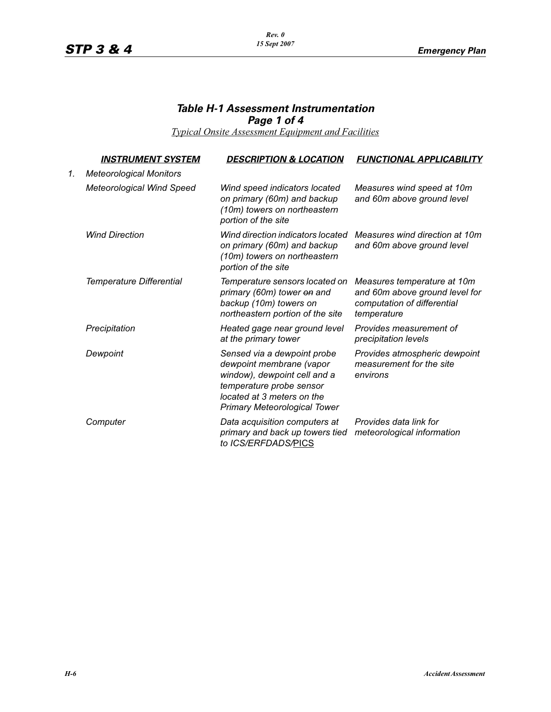#### *Rev. 0 15 Sept 2007*

## *Table H-1 Assessment Instrumentation Page 1 of 4*

*Typical Onsite Assessment Equipment and Facilities*

|    | <i><b>INSTRUMENT SYSTEM</b></i>  | <b>DESCRIPTION &amp; LOCATION</b>                                                                                                                                                        | <b>FUNCTIONAL APPLICABILITY</b>                                                                             |
|----|----------------------------------|------------------------------------------------------------------------------------------------------------------------------------------------------------------------------------------|-------------------------------------------------------------------------------------------------------------|
| 1. | <b>Meteorological Monitors</b>   |                                                                                                                                                                                          |                                                                                                             |
|    | <b>Meteorological Wind Speed</b> | Wind speed indicators located<br>on primary (60m) and backup<br>(10m) towers on northeastern<br>portion of the site                                                                      | Measures wind speed at 10m<br>and 60m above ground level                                                    |
|    | <b>Wind Direction</b>            | Wind direction indicators located<br>on primary (60m) and backup<br>(10m) towers on northeastern<br>portion of the site                                                                  | Measures wind direction at 10m<br>and 60m above ground level                                                |
|    | Temperature Differential         | Temperature sensors located on<br>primary (60m) tower on and<br>backup (10m) towers on<br>northeastern portion of the site                                                               | Measures temperature at 10m<br>and 60m above ground level for<br>computation of differential<br>temperature |
|    | Precipitation                    | Heated gage near ground level<br>at the primary tower                                                                                                                                    | Provides measurement of<br>precipitation levels                                                             |
|    | Dewpoint                         | Sensed via a dewpoint probe<br>dewpoint membrane (vapor<br>window), dewpoint cell and a<br>temperature probe sensor<br>located at 3 meters on the<br><b>Primary Meteorological Tower</b> | Provides atmospheric dewpoint<br>measurement for the site<br>environs                                       |
|    | Computer                         | Data acquisition computers at<br>primary and back up towers tied<br>to ICS/ERFDADS/PICS                                                                                                  | Provides data link for<br>meteorological information                                                        |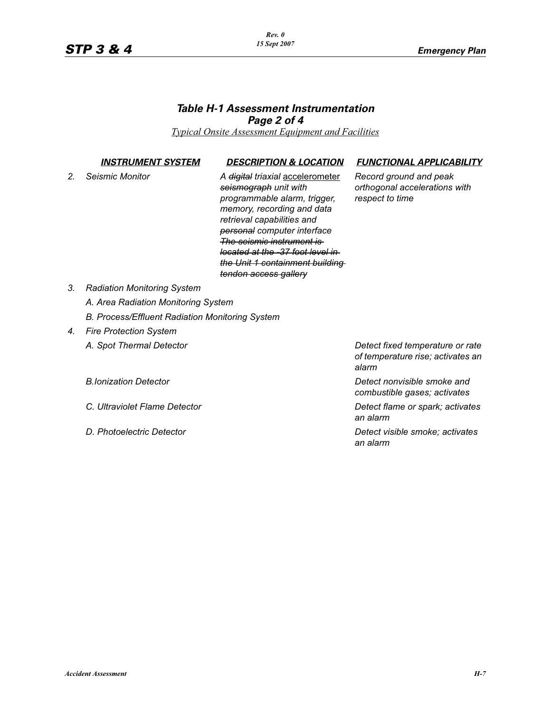#### *Rev. 0 15 Sept 2007*

## *Table H-1 Assessment Instrumentation Page 2 of 4*

*Typical Onsite Assessment Equipment and Facilities*

*2. Seismic Monitor A digital triaxial* accelerometer *seismograph unit with programmable alarm, trigger, memory, recording and data retrieval capabilities and personal computer interface The seismic instrument is located at the -37 foot level in the Unit 1 containment building tendon access gallery*

#### *INSTRUMENT SYSTEM DESCRIPTION & LOCATION FUNCTIONAL APPLICABILITY*

*Record ground and peak orthogonal accelerations with respect to time*

- *3. Radiation Monitoring System*
	- *A. Area Radiation Monitoring System*
	- *B. Process/Effluent Radiation Monitoring System*

# *4. Fire Protection System*

*A. Spot Thermal Detector Detect fixed temperature or rate of temperature rise; activates an alarm*

*B.Ionization Detector Detect nonvisible smoke and combustible gases; activates*

*C. Ultraviolet Flame Detector Detect flame or spark; activates an alarm*

*D. Photoelectric Detector Detect visible smoke; activates an alarm*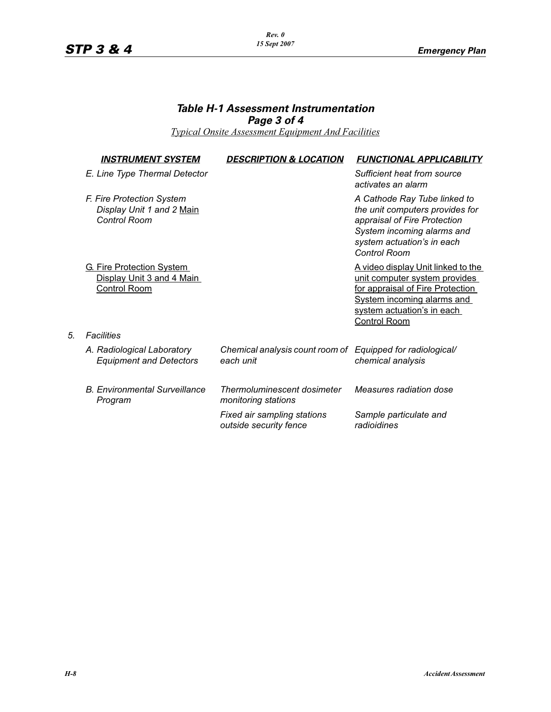#### *Rev. 0 15 Sept 2007*

## *Table H-1 Assessment Instrumentation Page 3 of 4*

*Typical Onsite Assessment Equipment And Facilities*

| <u>INSTRUMENT SYSTEM</u>                                                             | <b>DESCRIPTION &amp; LOCATION</b>                                       | <b>FUNCTIONAL APPLICABILITY</b>                                                                                                                                                                   |
|--------------------------------------------------------------------------------------|-------------------------------------------------------------------------|---------------------------------------------------------------------------------------------------------------------------------------------------------------------------------------------------|
| E. Line Type Thermal Detector                                                        |                                                                         | Sufficient heat from source<br>activates an alarm                                                                                                                                                 |
| F. Fire Protection System<br>Display Unit 1 and 2 Main<br>Control Room               |                                                                         | A Cathode Ray Tube linked to<br>the unit computers provides for<br>appraisal of Fire Protection<br>System incoming alarms and<br>system actuation's in each<br>Control Room                       |
| <b>G. Fire Protection System</b><br>Display Unit 3 and 4 Main<br><b>Control Room</b> |                                                                         | A video display Unit linked to the<br>unit computer system provides<br>for appraisal of Fire Protection<br><b>System incoming alarms and</b><br>system actuation's in each<br><b>Control Room</b> |
| Facilities                                                                           |                                                                         |                                                                                                                                                                                                   |
| A. Radiological Laboratory<br><b>Equipment and Detectors</b>                         | Chemical analysis count room of Equipped for radiological/<br>each unit | chemical analysis                                                                                                                                                                                 |
| <b>B.</b> Environmental Surveillance<br>Program                                      | Thermoluminescent dosimeter<br>monitoring stations                      | Measures radiation dose                                                                                                                                                                           |

*Fixed air sampling stations outside security fence*

*Sample particulate and* 

*radioidines*

*5. Facilities*